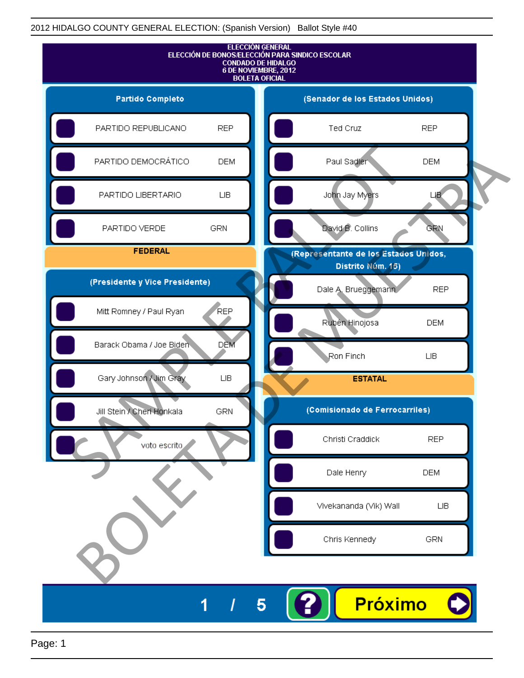

Page: 1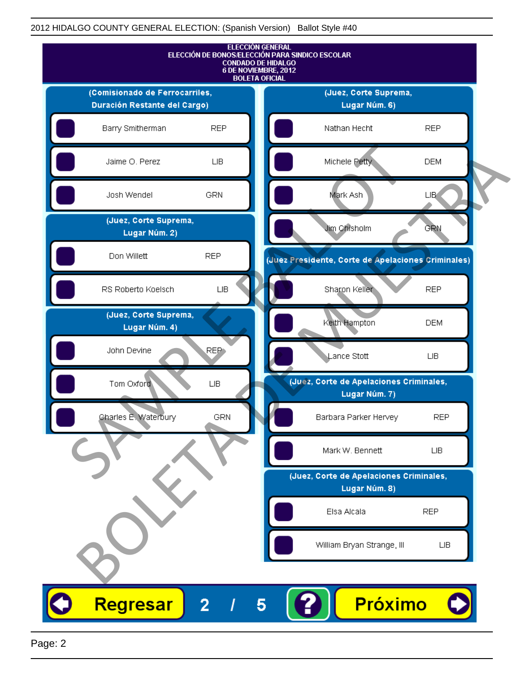

Page: 2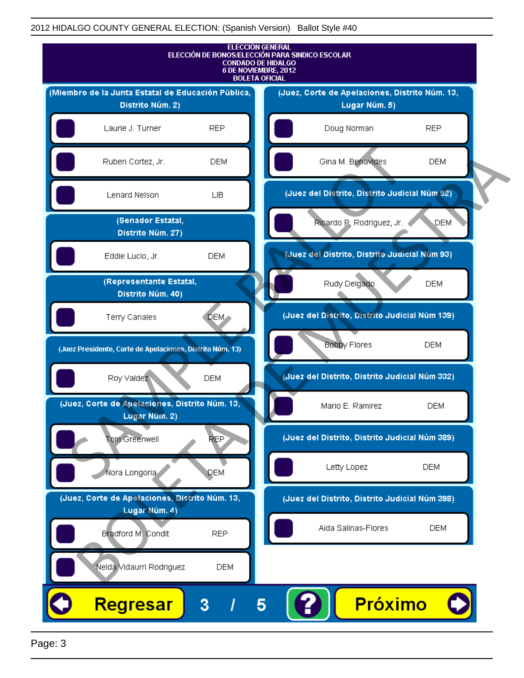

Page: 3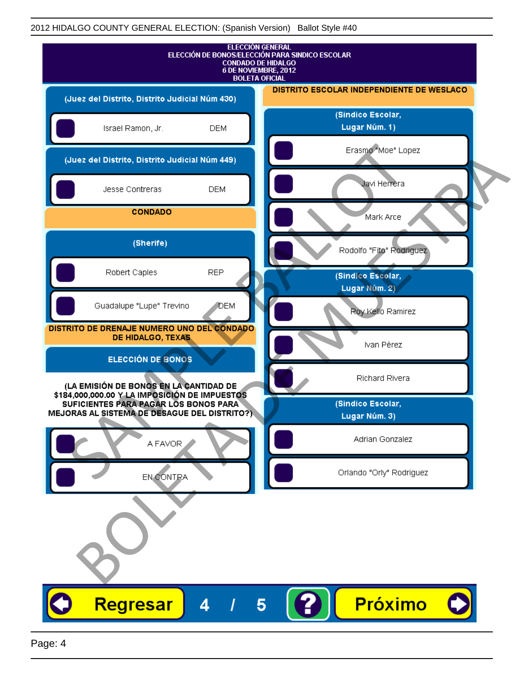| <b>ELECCIÓN GENERAL</b><br>ELECCIÓN DE BONOS/ELECCIÓN PARA SINDICO ESCOLAR<br><b>CONDADO DE HIDALGO</b><br>6 DE NOVIEMBRE, 2012<br><b>BOLETA OFICIAL</b> |                                           |
|----------------------------------------------------------------------------------------------------------------------------------------------------------|-------------------------------------------|
| (Juez del Distrito, Distrito Judicial Núm 430)                                                                                                           | DISTRITO ESCOLAR INDEPENDIENTE DE WESLACO |
| Israel Ramon, Jr.<br><b>DEM</b>                                                                                                                          | (Sindico Escolar,<br>Lugar Núm. 1)        |
| (Juez del Distrito, Distrito Judicial Núm 449)                                                                                                           | Erasmo "Moe" Lopez                        |
| Jesse Contreras<br><b>DEM</b>                                                                                                                            | Javi Herrera                              |
| <b>CONDADO</b>                                                                                                                                           | Mark Arce                                 |
| (Sherife)                                                                                                                                                | Rodolfo "Fito" Rodriguez                  |
| <b>REP</b><br>Robert Caples                                                                                                                              | (Sindico Escolar,<br>Lugar Núm. 2)        |
| Guadalupe "Lupe" Trevino<br>DEM                                                                                                                          | Roy Kello Ramirez                         |
| DISTRITO DE DRENAJE NUMERO UNO DEL CONDADO<br>DE HIDALGO, TEXAS                                                                                          | Ivan Pérez                                |
| <b>ELECCIÓN DE BONOS</b>                                                                                                                                 | Richard Rivera                            |
| (LA EMISIÓN DE BONOS EN LA CANTIDAD DE<br>\$184,000,000.00 Y LA IMPOSICIÓN DE IMPUESTOS<br>SUFICIENTES PARA PAGAR LOS BONOS PARA                         | (Sindico Escolar,                         |
| MEJORAS AL SISTEMA DE DESAGUE DEL DISTRITO?)                                                                                                             | Lugar Núm. 3)                             |
| A FAVOR                                                                                                                                                  | Adrian Gonzalez                           |
| EN CONTRA                                                                                                                                                | Orlando "Orly" Rodriguez                  |
|                                                                                                                                                          |                                           |
| Regresar<br>4<br>5                                                                                                                                       | <b>Próximo</b>                            |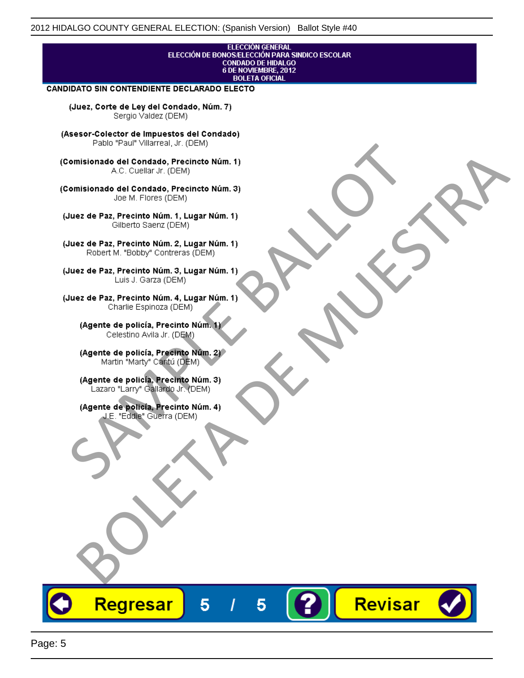## ELECCIÓN GENERAL ELECCIÓN DE BONOS/ELECCIÓN PARA SINDICO ESCOLAR<br>CONDADO DE HIDALGO<br>6 DE NOVIEMBRE, 2012 **BOLETA OFICIAL**

Revisar

### CANDIDATO SIN CONTENDIENTE DECLARADO ELECTO

(Juez, Corte de Ley del Condado, Núm. 7) Sergio Valdez (DEM)

(Asesor-Colector de Impuestos del Condado)

Fallo Fall Willdrea, J.I. (DEM)<br>
Consistionado el Condado, Precincto Núm. 1)<br>
A.C. Cuellar Jr. (DEM)<br>
Ullez de Paz, Precinto Núm. 1)<br>
Juez de Paz, Precinto Núm. 1, Lugar Núm. 1)<br>
Gilberto Sentr (DEM)<br>
Robert M. "Bobby" Con misionado del Condiado, Precincto Núm. 1)<br>
Andro del Condiado, Precincto Núm. 3)<br>
ez de Paz, Precinto Núm. 21<br>
algo M. Picer Lo Saerz, (CIEM)<br>
algo M. Picer Lo Saerz, (CIEM)<br>
algo M. Picer Lo Saerz, (CIEM)<br>
ez de Paz, Prec

Regresar

5

5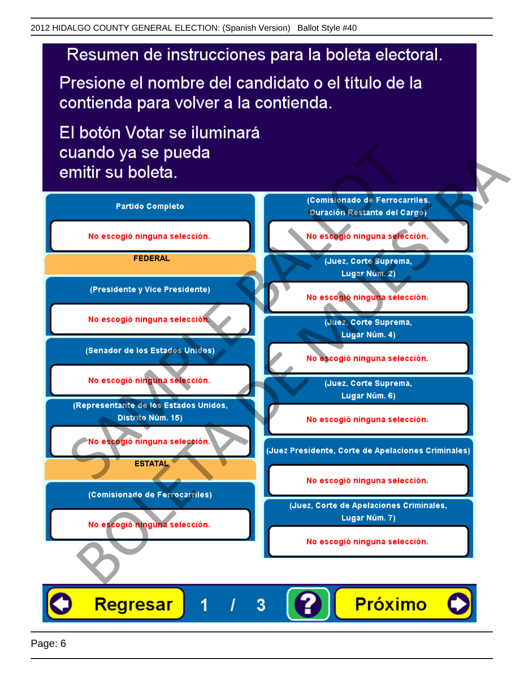# Resumen de instrucciones para la boleta electoral.

Presione el nombre del candidato o el título de la contienda para volver a la contienda.

El botón Votar se iluminará

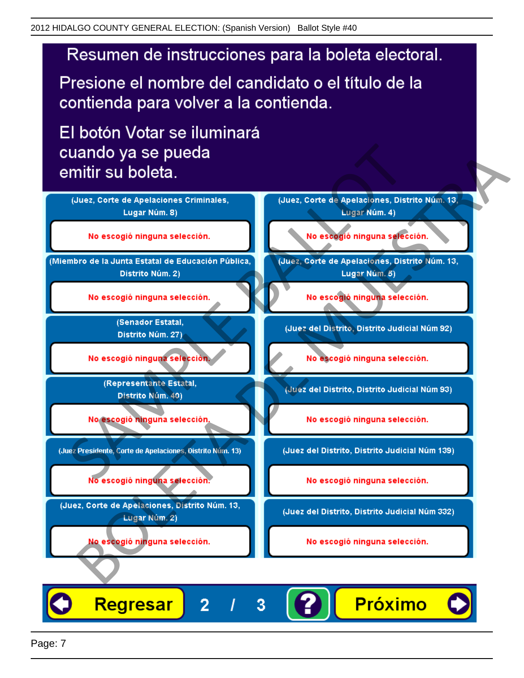# Resumen de instrucciones para la boleta electoral.

Presione el nombre del candidato o el título de la contienda para volver a la contienda.

El botón Votar se iluminará